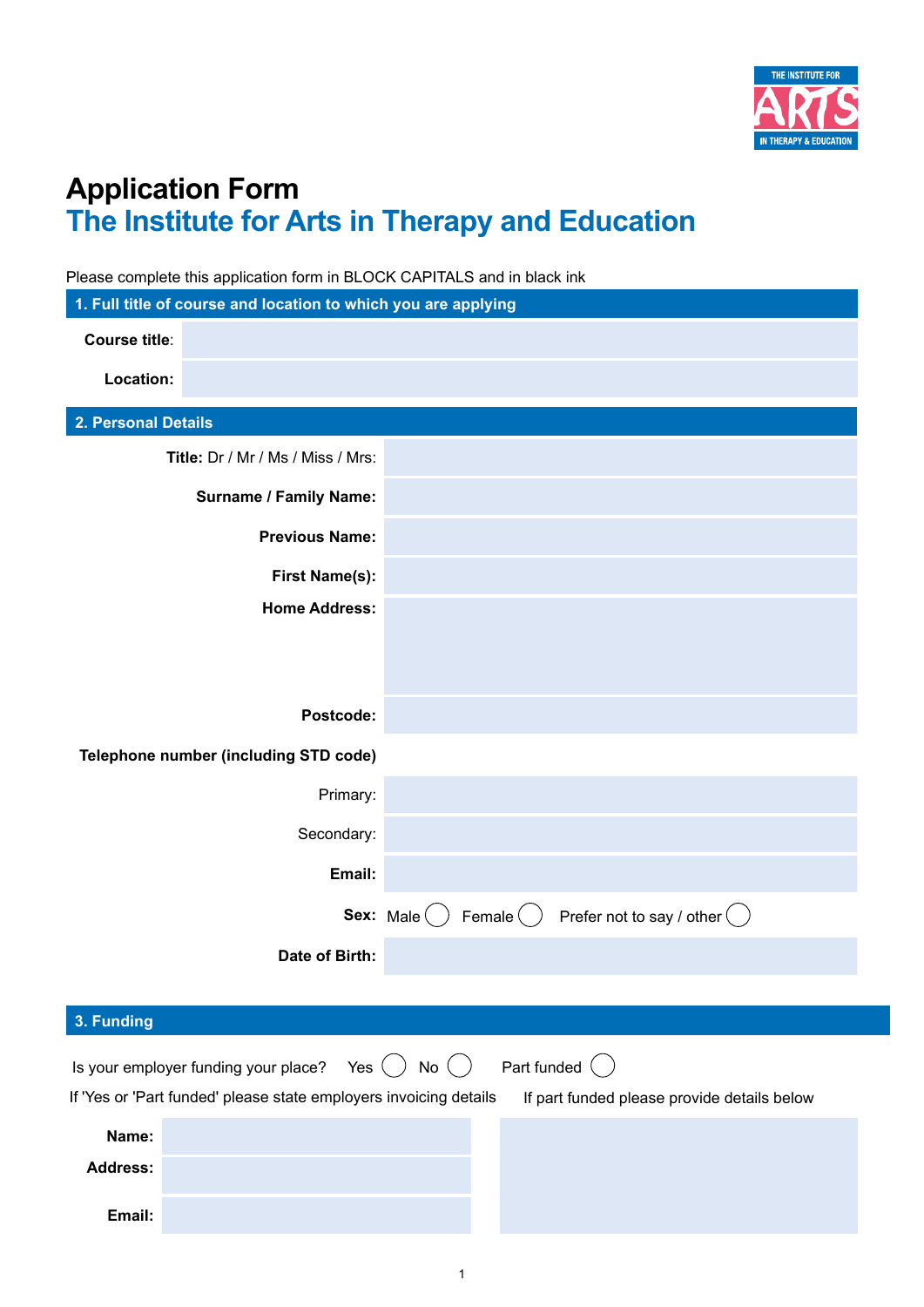

## **Application Form The Institute for Arts in Therapy and Education**

Please complete this application form in BLOCK CAPITALS and in black ink

| 1. Full title of course and location to which you are applying    |                                                                           |
|-------------------------------------------------------------------|---------------------------------------------------------------------------|
| <b>Course title:</b>                                              |                                                                           |
| Location:                                                         |                                                                           |
| 2. Personal Details                                               |                                                                           |
| Title: Dr / Mr / Ms / Miss / Mrs:                                 |                                                                           |
| <b>Surname / Family Name:</b>                                     |                                                                           |
| <b>Previous Name:</b>                                             |                                                                           |
| <b>First Name(s):</b>                                             |                                                                           |
| <b>Home Address:</b>                                              |                                                                           |
|                                                                   |                                                                           |
|                                                                   |                                                                           |
| Postcode:                                                         |                                                                           |
| Telephone number (including STD code)                             |                                                                           |
| Primary:                                                          |                                                                           |
| Secondary:                                                        |                                                                           |
| Email:                                                            |                                                                           |
|                                                                   | Female $( )$<br><b>Sex:</b> Male $( )$<br>Prefer not to say / other $( )$ |
| Date of Birth:                                                    |                                                                           |
|                                                                   |                                                                           |
| 3. Funding                                                        |                                                                           |
| Is your employer funding your place?<br>Yes                       | Part funded (<br>No $($ $)$                                               |
| If 'Yes or 'Part funded' please state employers invoicing details | If part funded please provide details below                               |
| Name:                                                             |                                                                           |
| <b>Address:</b>                                                   |                                                                           |
| Email:                                                            |                                                                           |
|                                                                   |                                                                           |

1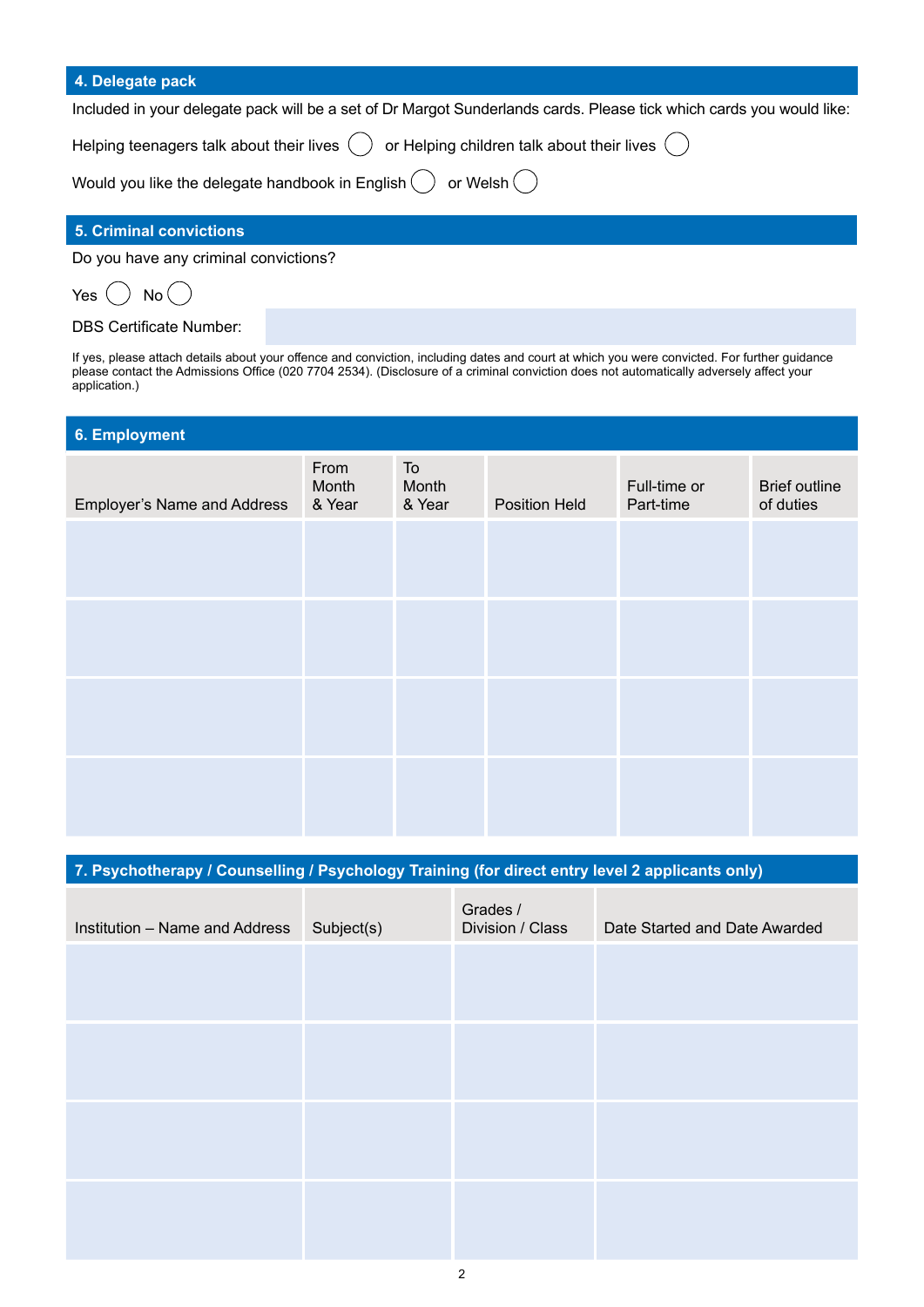| 4. Delegate pack                                                                                                     |
|----------------------------------------------------------------------------------------------------------------------|
| Included in your delegate pack will be a set of Dr Margot Sunderlands cards. Please tick which cards you would like: |
| Helping teenagers talk about their lives $\bigcirc$ or Helping children talk about their lives $\bigcirc$            |
| Would you like the delegate handbook in English $\bigcirc$ or Welsh $\bigcirc$                                       |

## **5. Criminal convictions**

Do you have any criminal convictions?

Yes  $( )$  No  $($ 

DBS Certificate Number:

If yes, please attach details about your offence and conviction, including dates and court at which you were convicted. For further guidance please contact the Admissions Office (020 7704 2534). (Disclosure of a criminal conviction does not automatically adversely affect your application.)

| 6. Employment                      |                         |                       |               |                           |                                   |
|------------------------------------|-------------------------|-----------------------|---------------|---------------------------|-----------------------------------|
| <b>Employer's Name and Address</b> | From<br>Month<br>& Year | To<br>Month<br>& Year | Position Held | Full-time or<br>Part-time | <b>Brief outline</b><br>of duties |
|                                    |                         |                       |               |                           |                                   |
|                                    |                         |                       |               |                           |                                   |
|                                    |                         |                       |               |                           |                                   |
|                                    |                         |                       |               |                           |                                   |

**7. Psychotherapy / Counselling / Psychology Training (for direct entry level 2 applicants only)**

| Institution - Name and Address | Subject(s) | Grades /<br>Division / Class | Date Started and Date Awarded |
|--------------------------------|------------|------------------------------|-------------------------------|
|                                |            |                              |                               |
|                                |            |                              |                               |
|                                |            |                              |                               |
|                                |            |                              |                               |
|                                |            |                              |                               |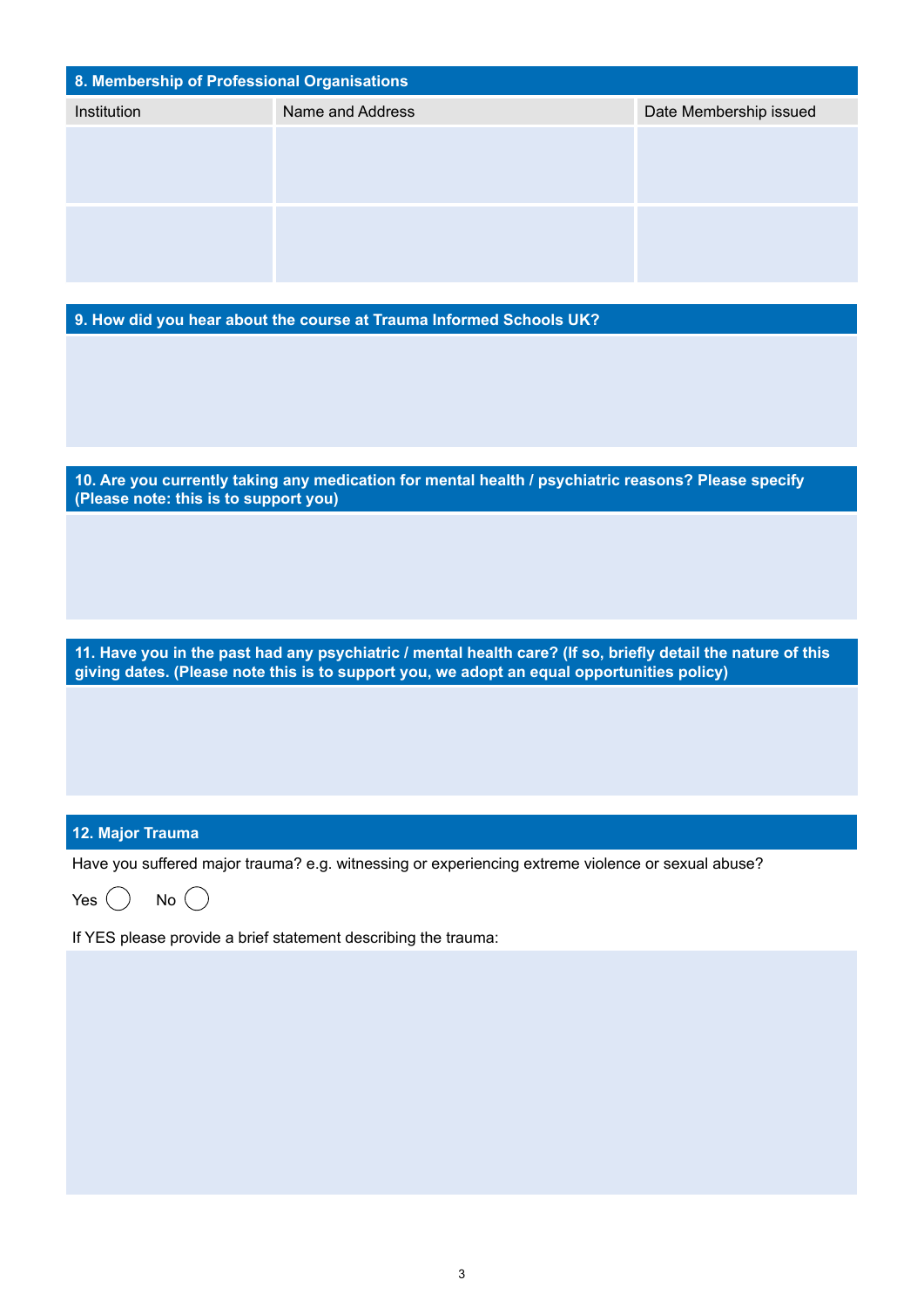| 8. Membership of Professional Organisations                                                                                                                                                                |                                                                                                     |                        |  |  |  |
|------------------------------------------------------------------------------------------------------------------------------------------------------------------------------------------------------------|-----------------------------------------------------------------------------------------------------|------------------------|--|--|--|
| Institution                                                                                                                                                                                                | Name and Address                                                                                    | Date Membership issued |  |  |  |
|                                                                                                                                                                                                            |                                                                                                     |                        |  |  |  |
|                                                                                                                                                                                                            |                                                                                                     |                        |  |  |  |
|                                                                                                                                                                                                            |                                                                                                     |                        |  |  |  |
|                                                                                                                                                                                                            |                                                                                                     |                        |  |  |  |
|                                                                                                                                                                                                            |                                                                                                     |                        |  |  |  |
|                                                                                                                                                                                                            | 9. How did you hear about the course at Trauma Informed Schools UK?                                 |                        |  |  |  |
|                                                                                                                                                                                                            |                                                                                                     |                        |  |  |  |
|                                                                                                                                                                                                            |                                                                                                     |                        |  |  |  |
|                                                                                                                                                                                                            |                                                                                                     |                        |  |  |  |
|                                                                                                                                                                                                            |                                                                                                     |                        |  |  |  |
| (Please note: this is to support you)                                                                                                                                                                      | 10. Are you currently taking any medication for mental health / psychiatric reasons? Please specify |                        |  |  |  |
|                                                                                                                                                                                                            |                                                                                                     |                        |  |  |  |
|                                                                                                                                                                                                            |                                                                                                     |                        |  |  |  |
|                                                                                                                                                                                                            |                                                                                                     |                        |  |  |  |
|                                                                                                                                                                                                            |                                                                                                     |                        |  |  |  |
| 11. Have you in the past had any psychiatric / mental health care? (If so, briefly detail the nature of this<br>giving dates. (Please note this is to support you, we adopt an equal opportunities policy) |                                                                                                     |                        |  |  |  |
|                                                                                                                                                                                                            |                                                                                                     |                        |  |  |  |
|                                                                                                                                                                                                            |                                                                                                     |                        |  |  |  |
|                                                                                                                                                                                                            |                                                                                                     |                        |  |  |  |
|                                                                                                                                                                                                            |                                                                                                     |                        |  |  |  |
| 12. Major Trauma                                                                                                                                                                                           |                                                                                                     |                        |  |  |  |

Have you suffered major trauma? e.g. witnessing or experiencing extreme violence or sexual abuse?

Yes  $\bigcirc$  No  $\bigcirc$ 

If YES please provide a brief statement describing the trauma: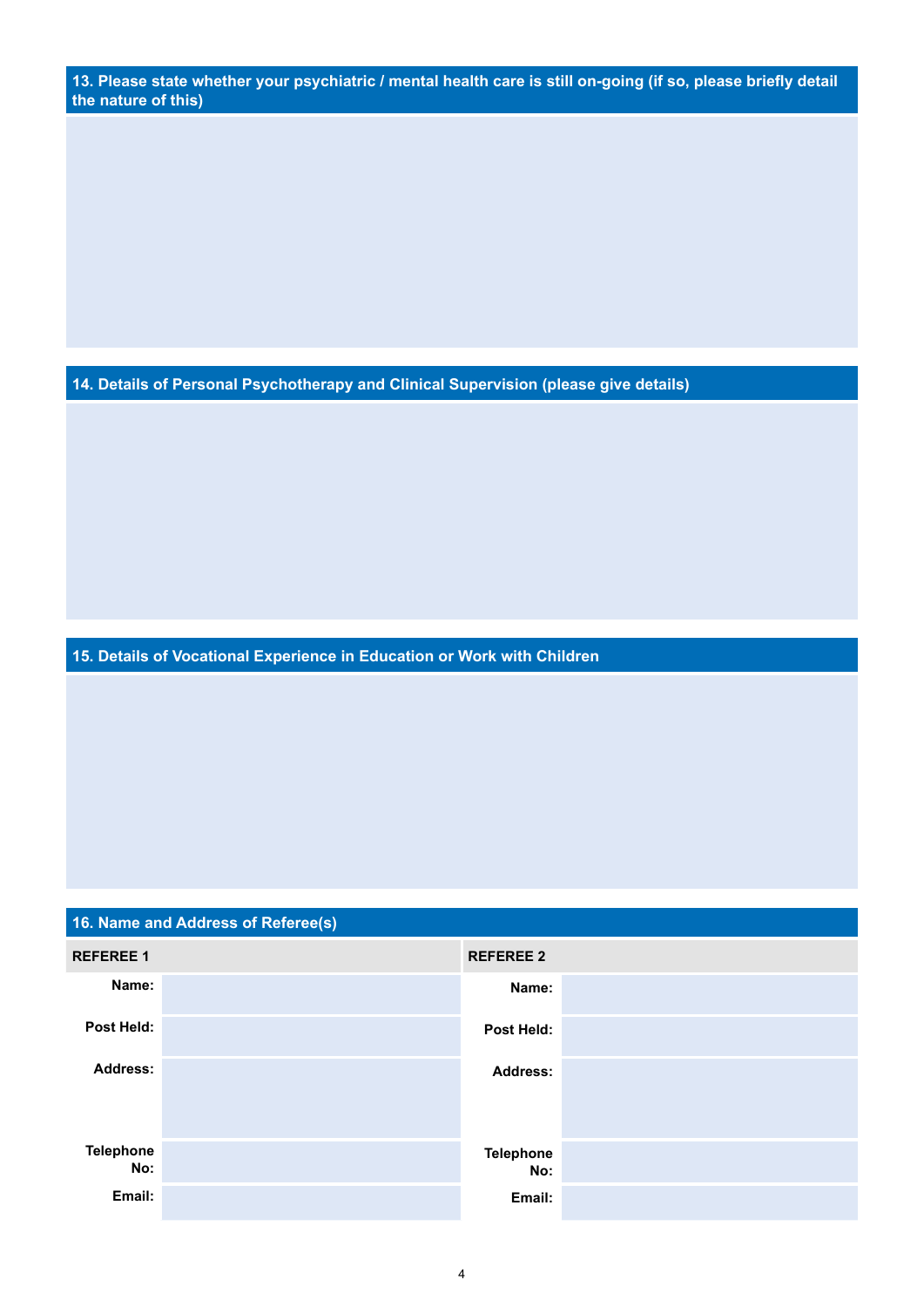**13. Please state whether your psychiatric / mental health care is still on-going (if so, please briefly detail the nature of this)** 

**14. Details of Personal Psychotherapy and Clinical Supervision (please give details)**

**15. Details of Vocational Experience in Education or Work with Children**

| 16. Name and Address of Referee(s) |  |                         |  |  |
|------------------------------------|--|-------------------------|--|--|
| <b>REFEREE 1</b>                   |  | <b>REFEREE 2</b>        |  |  |
| Name:                              |  | Name:                   |  |  |
| Post Held:                         |  | Post Held:              |  |  |
| <b>Address:</b>                    |  | <b>Address:</b>         |  |  |
| <b>Telephone</b><br>No:            |  | <b>Telephone</b><br>No: |  |  |
| Email:                             |  | Email:                  |  |  |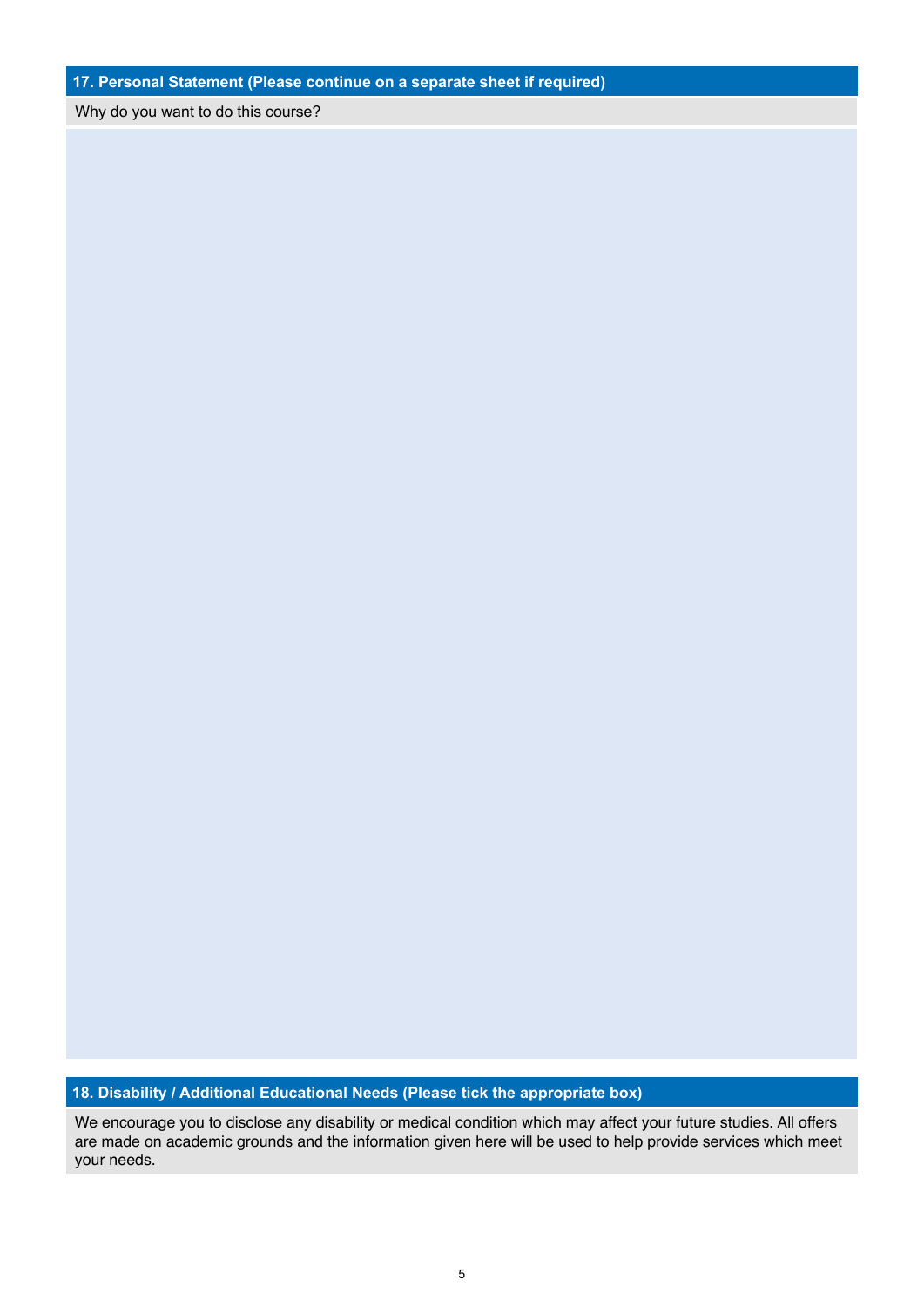**17. Personal Statement (Please continue on a separate sheet if required)**

Why do you want to do this course?

## **18. Disability / Additional Educational Needs (Please tick the appropriate box)**

We encourage you to disclose any disability or medical condition which may affect your future studies. All offers are made on academic grounds and the information given here will be used to help provide services which meet your needs.